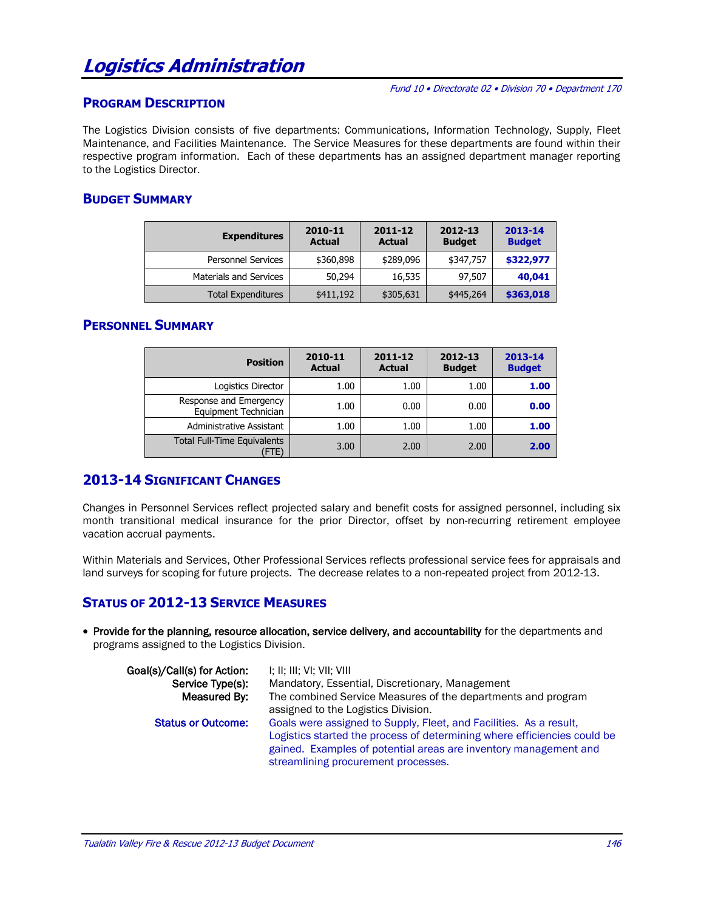# **Logistics Administration**

Fund 10 • Directorate 02 • Division 70 • Department 170

#### **PROGRAM DESCRIPTION**

The Logistics Division consists of five departments: Communications, Information Technology, Supply, Fleet Maintenance, and Facilities Maintenance. The Service Measures for these departments are found within their respective program information. Each of these departments has an assigned department manager reporting to the Logistics Director.

## **BUDGET SUMMARY**

| <b>Expenditures</b>           | 2010-11<br><b>Actual</b> | 2012-13<br>$2011 - 12$<br><b>Budget</b><br><b>Actual</b> |           | 2013-14<br><b>Budget</b> |
|-------------------------------|--------------------------|----------------------------------------------------------|-----------|--------------------------|
| <b>Personnel Services</b>     | \$360,898                | \$289,096                                                | \$347,757 | \$322,977                |
| <b>Materials and Services</b> | 50,294                   | 16,535                                                   | 97,507    | 40,041                   |
| <b>Total Expenditures</b>     | \$411,192                | \$305,631                                                | \$445,264 | \$363,018                |

#### **PERSONNEL SUMMARY**

| <b>Position</b>                                | 2010-11<br><b>Actual</b> | 2011-12<br><b>Actual</b> | 2012-13<br><b>Budget</b> | 2013-14<br><b>Budget</b> |
|------------------------------------------------|--------------------------|--------------------------|--------------------------|--------------------------|
| Logistics Director                             | 1.00                     | 1.00                     | 1.00                     | 1.00                     |
| Response and Emergency<br>Equipment Technician | 1.00                     | 0.00                     | 0.00                     | 0.00                     |
| Administrative Assistant                       | 1.00                     | 1.00                     | 1.00                     | 1.00                     |
| <b>Total Full-Time Equivalents</b><br>(FTE)    | 3.00                     | 2.00                     | 2.00                     | 2.00                     |

#### **2013-14 SIGNIFICANT CHANGES**

Changes in Personnel Services reflect projected salary and benefit costs for assigned personnel, including six month transitional medical insurance for the prior Director, offset by non-recurring retirement employee vacation accrual payments.

Within Materials and Services, Other Professional Services reflects professional service fees for appraisals and land surveys for scoping for future projects. The decrease relates to a non-repeated project from 2012-13.

# **STATUS OF 2012-13 SERVICE MEASURES**

• Provide for the planning, resource allocation, service delivery, and accountability for the departments and programs assigned to the Logistics Division.

| Goal(s)/Call(s) for Action: | I; II; III; VI; VII; VIII                                                |
|-----------------------------|--------------------------------------------------------------------------|
| Service Type(s):            | Mandatory, Essential, Discretionary, Management                          |
| Measured By:                | The combined Service Measures of the departments and program             |
|                             | assigned to the Logistics Division.                                      |
| <b>Status or Outcome:</b>   | Goals were assigned to Supply, Fleet, and Facilities. As a result,       |
|                             | Logistics started the process of determining where efficiencies could be |
|                             | gained. Examples of potential areas are inventory management and         |
|                             | streamlining procurement processes.                                      |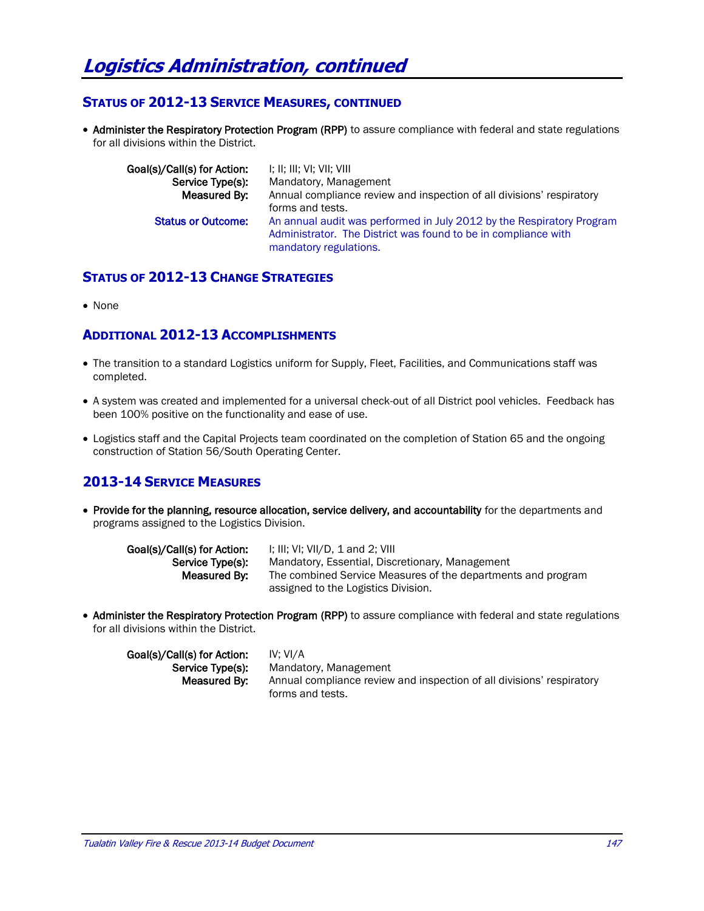#### **STATUS OF 2012-13 SERVICE MEASURES, CONTINUED**

• Administer the Respiratory Protection Program (RPP) to assure compliance with federal and state regulations for all divisions within the District.

| Goal(s)/Call(s) for Action: | I; II; III; VI; VII; VIII                                                                                                                                         |
|-----------------------------|-------------------------------------------------------------------------------------------------------------------------------------------------------------------|
| Service Type(s):            | Mandatory, Management                                                                                                                                             |
| Measured By:                | Annual compliance review and inspection of all divisions' respiratory                                                                                             |
|                             | forms and tests.                                                                                                                                                  |
| <b>Status or Outcome:</b>   | An annual audit was performed in July 2012 by the Respiratory Program<br>Administrator. The District was found to be in compliance with<br>mandatory regulations. |

# **STATUS OF 2012-13 CHANGE STRATEGIES**

• None

#### **ADDITIONAL 2012-13 ACCOMPLISHMENTS**

- The transition to a standard Logistics uniform for Supply, Fleet, Facilities, and Communications staff was completed.
- A system was created and implemented for a universal check-out of all District pool vehicles. Feedback has been 100% positive on the functionality and ease of use.
- Logistics staff and the Capital Projects team coordinated on the completion of Station 65 and the ongoing construction of Station 56/South Operating Center.

# **2013-14 SERVICE MEASURES**

• Provide for the planning, resource allocation, service delivery, and accountability for the departments and programs assigned to the Logistics Division.

| Goal(s)/Call(s) for Action: | I; III; VI; VII/D, 1 and 2; VIII                             |
|-----------------------------|--------------------------------------------------------------|
| Service Type(s):            | Mandatory, Essential, Discretionary, Management              |
| Measured By:                | The combined Service Measures of the departments and program |
|                             | assigned to the Logistics Division.                          |

• Administer the Respiratory Protection Program (RPP) to assure compliance with federal and state regulations for all divisions within the District.

| Goal(s)/Call(s) for Action: | IV: VI/A                                                              |
|-----------------------------|-----------------------------------------------------------------------|
| Service Type(s):            | Mandatory, Management                                                 |
| Measured By:                | Annual compliance review and inspection of all divisions' respiratory |
|                             | forms and tests.                                                      |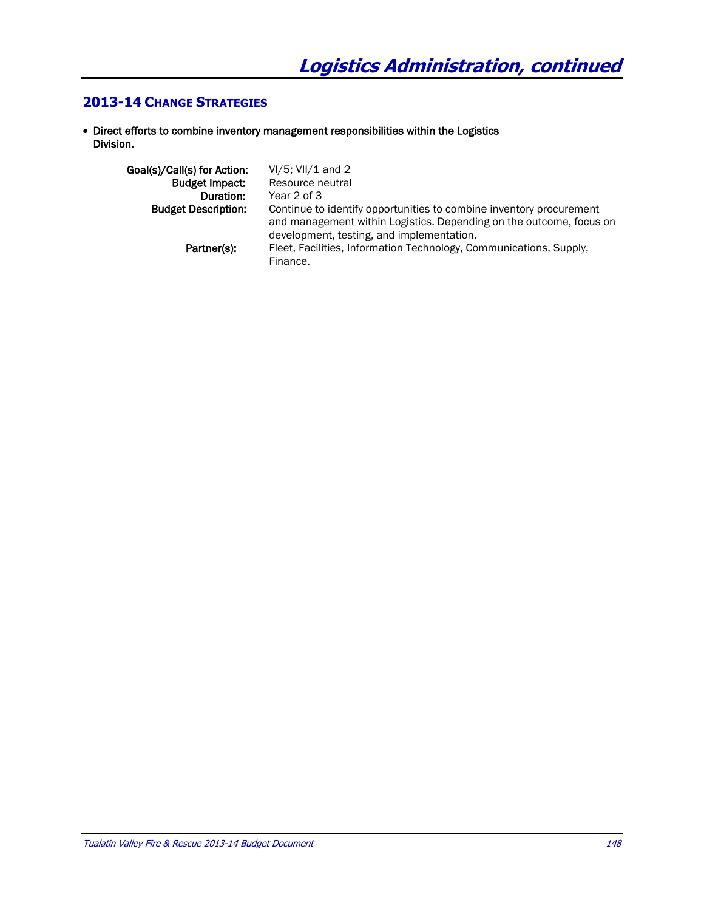## **2013-14 CHANGE STRATEGIES**

 Direct efforts to combine inventory management responsibilities within the Logistics Division.

| Goal(s)/Call(s) for Action: | $VI/5$ ; VII/1 and 2                                                                                                                                                                    |
|-----------------------------|-----------------------------------------------------------------------------------------------------------------------------------------------------------------------------------------|
| <b>Budget Impact:</b>       | Resource neutral                                                                                                                                                                        |
| Duration:                   | Year 2 of 3                                                                                                                                                                             |
| <b>Budget Description:</b>  | Continue to identify opportunities to combine inventory procurement<br>and management within Logistics. Depending on the outcome, focus on<br>development, testing, and implementation. |
| Partner(s):                 | Fleet, Facilities, Information Technology, Communications, Supply,<br>Finance.                                                                                                          |